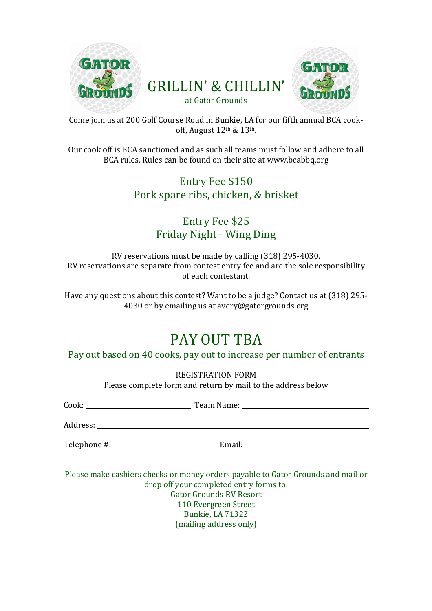



Come join us at 200 Golf Course Road in Bunkie, LA for our fifth annual BCA cookoff, August 12th & 13th.

Our cook off is BCA sanctioned and as such all teams must follow and adhere to all BCA rules. Rules can be found on their site at www.bcabbq.org

### Entry Fee \$150 Pork spare ribs, chicken, & brisket

#### Entry Fee \$25 Friday Night - Wing Ding

RV reservations must be made by calling (318) 295-4030. RV reservations are separate from contest entry fee and are the sole responsibility of each contestant.

Have any questions about this contest? Want to be a judge? Contact us at (318) 295- 4030 or by emailing us at avery@gatorgrounds.org

## PAY OUT TBA

Pay out based on 40 cooks, pay out to increase per number of entrants

REGISTRATION FORM Please complete form and return by mail to the address below

| Cook:           | Team Name: |
|-----------------|------------|
| Address: _      |            |
| Telephone #: __ | Email:     |

Please make cashiers checks or money orders payable to Gator Grounds and mail or drop off your completed entry forms to: Gator Grounds RV Resort 110 Evergreen Street Bunkie, LA 71322 (mailing address only)